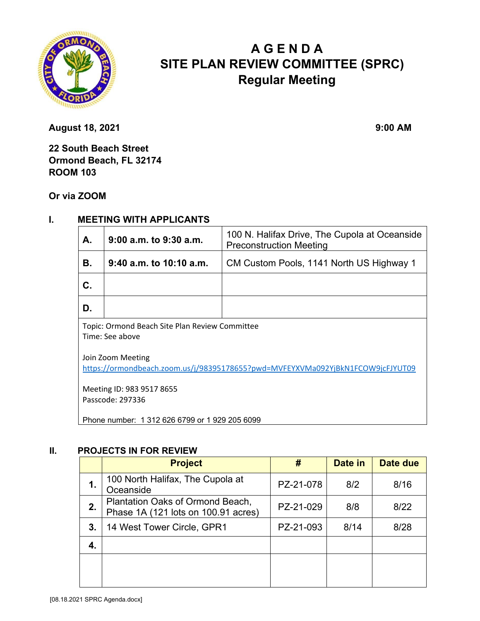

# **A G E N D A SITE PLAN REVIEW COMMITTEE (SPRC) Regular Meeting**

**August 18, 2021 9:00 AM** 

**22 South Beach Street Ormond Beach, FL 32174 ROOM 103** 

**Or via ZOOM**

### **I. MEETING WITH APPLICANTS**

| Α. | 9:00 a.m. to 9:30 a.m.  | 100 N. Halifax Drive, The Cupola at Oceanside<br><b>Preconstruction Meeting</b> |  |  |  |
|----|-------------------------|---------------------------------------------------------------------------------|--|--|--|
| В. | 9:40 a.m. to 10:10 a.m. | CM Custom Pools, 1141 North US Highway 1                                        |  |  |  |
| C. |                         |                                                                                 |  |  |  |
| D. |                         |                                                                                 |  |  |  |
|    |                         |                                                                                 |  |  |  |

Topic: Ormond Beach Site Plan Review Committee Time: See above

Join Zoom Meeting <https://ormondbeach.zoom.us/j/98395178655?pwd=MVFEYXVMa092YjBkN1FCOW9jcFJYUT09>

Meeting ID: 983 9517 8655 Passcode: 297336

Phone number: 1 312 626 6799 or 1 929 205 6099

#### **II. PROJECTS IN FOR REVIEW**

|    | <b>Project</b>                                                          | #         | Date in | Date due |
|----|-------------------------------------------------------------------------|-----------|---------|----------|
| 1. | 100 North Halifax, The Cupola at<br>Oceanside                           | PZ-21-078 | 8/2     | 8/16     |
| 2. | Plantation Oaks of Ormond Beach,<br>Phase 1A (121 lots on 100.91 acres) | PZ-21-029 | 8/8     | 8/22     |
| 3. | 14 West Tower Circle, GPR1                                              | PZ-21-093 | 8/14    | 8/28     |
| 4. |                                                                         |           |         |          |
|    |                                                                         |           |         |          |
|    |                                                                         |           |         |          |